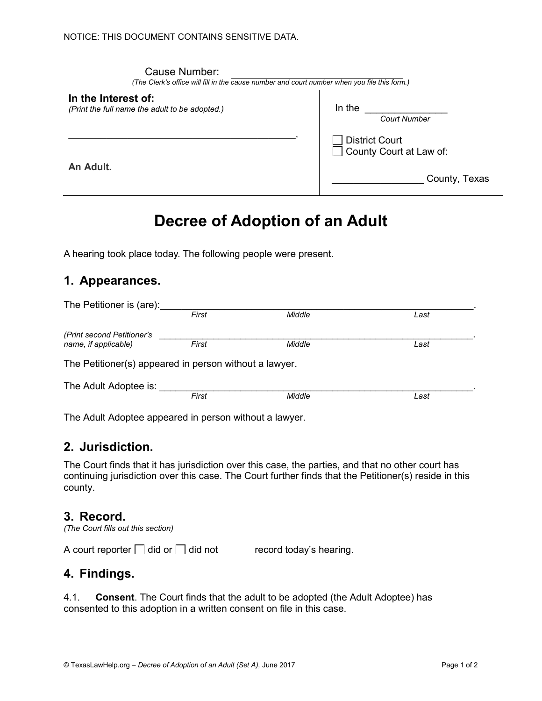| Cause Number:<br>(The Clerk's office will fill in the cause number and court number when you file this form.) |                                                  |  |
|---------------------------------------------------------------------------------------------------------------|--------------------------------------------------|--|
| In the Interest of:<br>(Print the full name the adult to be adopted.)                                         | In the<br><b>Court Number</b>                    |  |
|                                                                                                               | <b>District Court</b><br>County Court at Law of: |  |
| An Adult.                                                                                                     | County, Texas                                    |  |

# Decree of Adoption of an Adult

A hearing took place today. The following people were present.

### 1. Appearances.

| The Petitioner is (are):                               |       |        |      |
|--------------------------------------------------------|-------|--------|------|
|                                                        | First | Middle | Last |
| (Print second Petitioner's                             |       |        |      |
| name, if applicable)                                   | First | Middle | Last |
| The Petitioner(s) appeared in person without a lawyer. |       |        |      |
| The Adult Adoptee is:                                  |       |        |      |
|                                                        | First | Middle | Last |
|                                                        |       |        |      |

The Adult Adoptee appeared in person without a lawyer.

#### 2. Jurisdiction.

The Court finds that it has jurisdiction over this case, the parties, and that no other court has continuing jurisdiction over this case. The Court further finds that the Petitioner(s) reside in this county.

#### 3. Record.

(The Court fills out this section)

A court reporter  $\Box$  did or  $\Box$  did not record today's hearing.

## 4. Findings.

4.1. Consent. The Court finds that the adult to be adopted (the Adult Adoptee) has consented to this adoption in a written consent on file in this case.